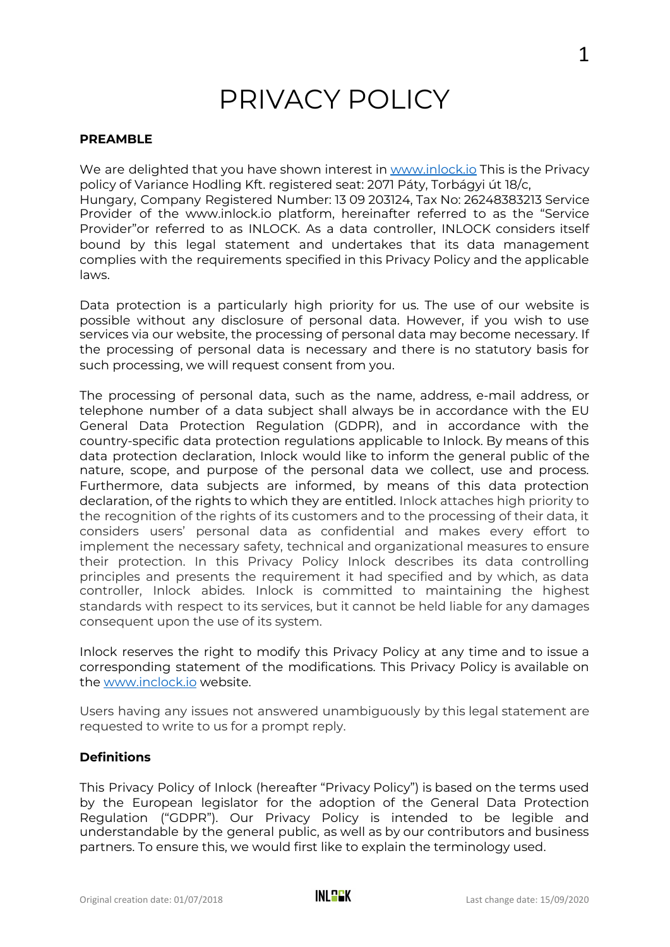# PRIVACY POLICY

#### **PREAMBLE**

We are delighted that you have shown interest in [www.inlock.io](http://www.inlock.io/) This is the Privacy policy of Variance Hodling Kft. registered seat: 2071 Páty, Torbágyi út 18/c, Hungary, Company Registered Number: 13 09 203124, Tax No: 26248383213 Service Provider of the www.inlock.io platform, hereinafter referred to as the "Service Provider"or referred to as INLOCK. As a data controller, INLOCK considers itself bound by this legal statement and undertakes that its data management complies with the requirements specified in this Privacy Policy and the applicable laws.

Data protection is a particularly high priority for us. The use of our website is possible without any disclosure of personal data. However, if you wish to use services via our website, the processing of personal data may become necessary. If the processing of personal data is necessary and there is no statutory basis for such processing, we will request consent from you.

The processing of personal data, such as the name, address, e-mail address, or telephone number of a data subject shall always be in accordance with the EU General Data Protection Regulation (GDPR), and in accordance with the country-specific data protection regulations applicable to Inlock. By means of this data protection declaration, Inlock would like to inform the general public of the nature, scope, and purpose of the personal data we collect, use and process. Furthermore, data subjects are informed, by means of this data protection declaration, of the rights to which they are entitled. Inlock attaches high priority to the recognition of the rights of its customers and to the processing of their data, it considers users' personal data as confidential and makes every effort to implement the necessary safety, technical and organizational measures to ensure their protection. In this Privacy Policy Inlock describes its data controlling principles and presents the requirement it had specified and by which, as data controller, Inlock abides. Inlock is committed to maintaining the highest standards with respect to its services, but it cannot be held liable for any damages consequent upon the use of its system.

Inlock reserves the right to modify this Privacy Policy at any time and to issue a corresponding statement of the modifications. This Privacy Policy is available on the [www.inclock.io](http://www.inclock.io/) website.

Users having any issues not answered unambiguously by this legal statement are requested to write to us for a prompt reply.

#### **Definitions**

This Privacy Policy of Inlock (hereafter "Privacy Policy") is based on the terms used by the European legislator for the adoption of the General Data Protection Regulation ("GDPR"). Our Privacy Policy is intended to be legible and understandable by the general public, as well as by our contributors and business partners. To ensure this, we would first like to explain the terminology used.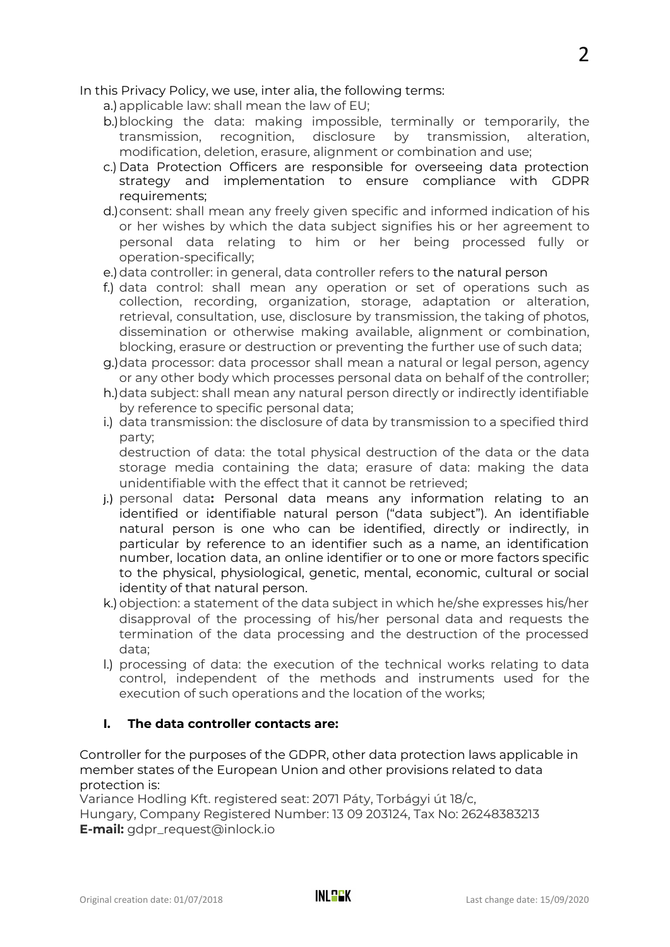In this Privacy Policy, we use, inter alia, the following terms:

- a.) applicable law: shall mean the law of EU;
- b.)blocking the data: making impossible, terminally or temporarily, the transmission, recognition, disclosure by transmission, alteration, modification, deletion, erasure, alignment or combination and use;
- c.) Data Protection Officers are responsible for overseeing data protection strategy and implementation to ensure compliance with GDPR requirements;
- d.)consent: shall mean any freely given specific and informed indication of his or her wishes by which the data subject signifies his or her agreement to personal data relating to him or her being processed fully or operation-specifically;
- e.) data controller: in general, data controller refers to the natural person
- f.) data control: shall mean any operation or set of operations such as collection, recording, organization, storage, adaptation or alteration, retrieval, consultation, use, disclosure by transmission, the taking of photos, dissemination or otherwise making available, alignment or combination, blocking, erasure or destruction or preventing the further use of such data;
- g.)data processor: data processor shall mean a natural or legal person, agency or any other body which processes personal data on behalf of the controller;
- h.)data subject: shall mean any natural person directly or indirectly identifiable by reference to specific personal data;
- i.) data transmission: the disclosure of data by transmission to a specified third party;

destruction of data: the total physical destruction of the data or the data storage media containing the data; erasure of data: making the data unidentifiable with the effect that it cannot be retrieved;

- j.) personal data**:** Personal data means any information relating to an identified or identifiable natural person ("data subject"). An identifiable natural person is one who can be identified, directly or indirectly, in particular by reference to an identifier such as a name, an identification number, location data, an online identifier or to one or more factors specific to the physical, physiological, genetic, mental, economic, cultural or social identity of that natural person.
- k.)objection: a statement of the data subject in which he/she expresses his/her disapproval of the processing of his/her personal data and requests the termination of the data processing and the destruction of the processed data;
- l.) processing of data: the execution of the technical works relating to data control, independent of the methods and instruments used for the execution of such operations and the location of the works;

# **I. The data controller contacts are:**

Controller for the purposes of the GDPR, other data protection laws applicable in member states of the European Union and other provisions related to data protection is:

Variance Hodling Kft. registered seat: 2071 Páty, Torbágyi út 18/c, Hungary, Company Registered Number: 13 09 203124, Tax No: 26248383213 **E-mail:** gdpr\_request@inlock.io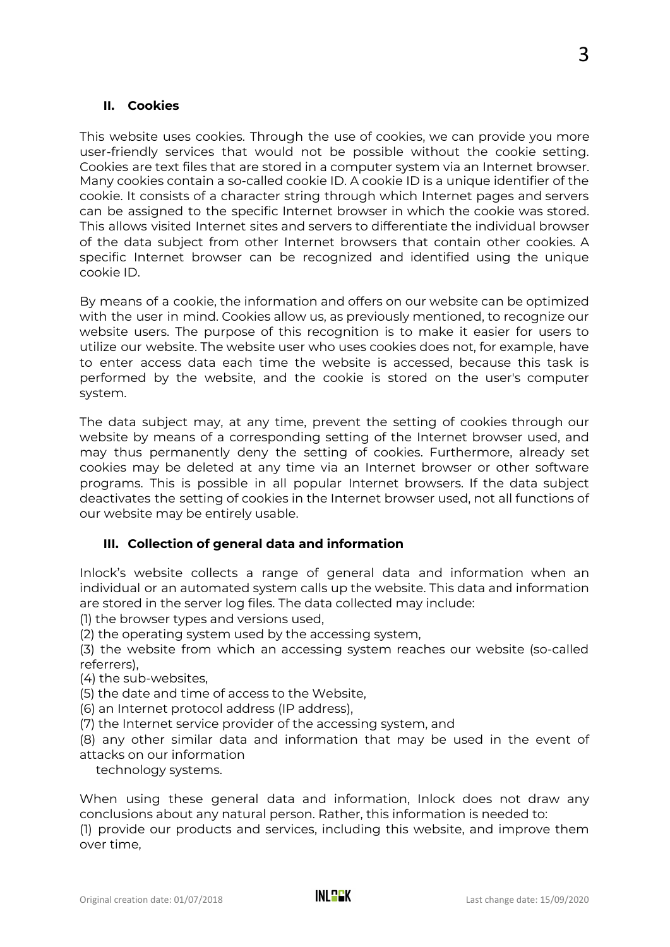### **II. Cookies**

This website uses cookies. Through the use of cookies, we can provide you more user-friendly services that would not be possible without the cookie setting. Cookies are text files that are stored in a computer system via an Internet browser. Many cookies contain a so-called cookie ID. A cookie ID is a unique identifier of the cookie. It consists of a character string through which Internet pages and servers can be assigned to the specific Internet browser in which the cookie was stored. This allows visited Internet sites and servers to differentiate the individual browser of the data subject from other Internet browsers that contain other cookies. A specific Internet browser can be recognized and identified using the unique cookie ID.

By means of a cookie, the information and offers on our website can be optimized with the user in mind. Cookies allow us, as previously mentioned, to recognize our website users. The purpose of this recognition is to make it easier for users to utilize our website. The website user who uses cookies does not, for example, have to enter access data each time the website is accessed, because this task is performed by the website, and the cookie is stored on the user's computer system.

The data subject may, at any time, prevent the setting of cookies through our website by means of a corresponding setting of the Internet browser used, and may thus permanently deny the setting of cookies. Furthermore, already set cookies may be deleted at any time via an Internet browser or other software programs. This is possible in all popular Internet browsers. If the data subject deactivates the setting of cookies in the Internet browser used, not all functions of our website may be entirely usable.

# **III. Collection of general data and information**

Inlock's website collects a range of general data and information when an individual or an automated system calls up the website. This data and information are stored in the server log files. The data collected may include:

(1) the browser types and versions used,

(2) the operating system used by the accessing system,

(3) the website from which an accessing system reaches our website (so-called referrers),

(4) the sub-websites,

(5) the date and time of access to the Website,

(6) an Internet protocol address (IP address),

(7) the Internet service provider of the accessing system, and

(8) any other similar data and information that may be used in the event of attacks on our information

technology systems.

When using these general data and information, Inlock does not draw any conclusions about any natural person. Rather, this information is needed to: (1) provide our products and services, including this website, and improve them over time,

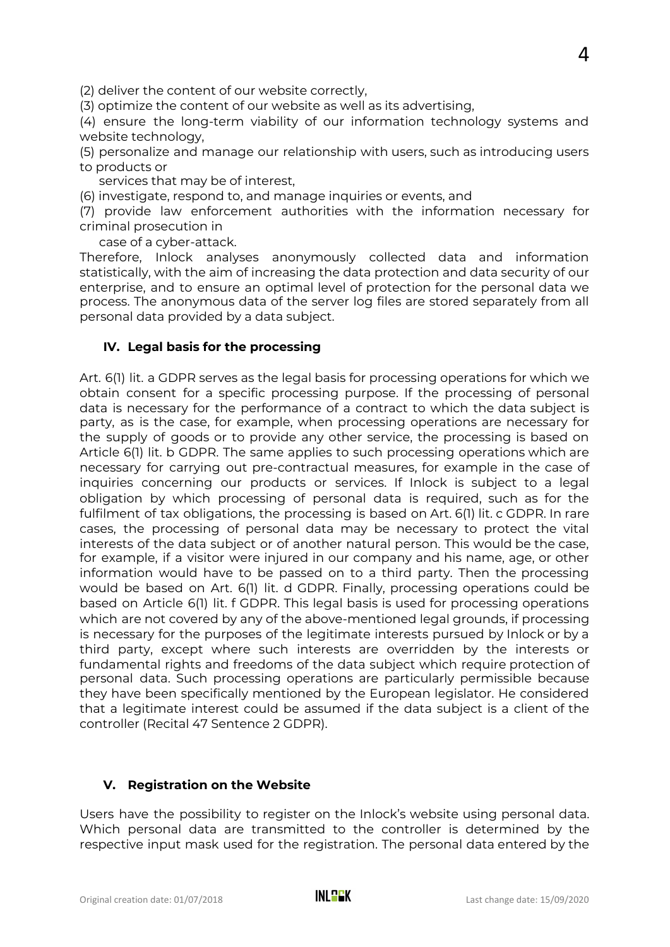(2) deliver the content of our website correctly,

(3) optimize the content of our website as well as its advertising,

(4) ensure the long-term viability of our information technology systems and website technology,

(5) personalize and manage our relationship with users, such as introducing users to products or

services that may be of interest,

(6) investigate, respond to, and manage inquiries or events, and

(7) provide law enforcement authorities with the information necessary for criminal prosecution in

case of a cyber-attack.

Therefore, Inlock analyses anonymously collected data and information statistically, with the aim of increasing the data protection and data security of our enterprise, and to ensure an optimal level of protection for the personal data we process. The anonymous data of the server log files are stored separately from all personal data provided by a data subject.

# **IV. Legal basis for the processing**

Art. 6(1) lit. a GDPR serves as the legal basis for processing operations for which we obtain consent for a specific processing purpose. If the processing of personal data is necessary for the performance of a contract to which the data subject is party, as is the case, for example, when processing operations are necessary for the supply of goods or to provide any other service, the processing is based on Article 6(1) lit. b GDPR. The same applies to such processing operations which are necessary for carrying out pre-contractual measures, for example in the case of inquiries concerning our products or services. If Inlock is subject to a legal obligation by which processing of personal data is required, such as for the fulfilment of tax obligations, the processing is based on Art. 6(1) lit. c GDPR. In rare cases, the processing of personal data may be necessary to protect the vital interests of the data subject or of another natural person. This would be the case, for example, if a visitor were injured in our company and his name, age, or other information would have to be passed on to a third party. Then the processing would be based on Art. 6(1) lit. d GDPR. Finally, processing operations could be based on Article 6(1) lit. f GDPR. This legal basis is used for processing operations which are not covered by any of the above-mentioned legal grounds, if processing is necessary for the purposes of the legitimate interests pursued by Inlock or by a third party, except where such interests are overridden by the interests or fundamental rights and freedoms of the data subject which require protection of personal data. Such processing operations are particularly permissible because they have been specifically mentioned by the European legislator. He considered that a legitimate interest could be assumed if the data subject is a client of the controller (Recital 47 Sentence 2 GDPR).

# **V. Registration on the Website**

Users have the possibility to register on the Inlock's website using personal data. Which personal data are transmitted to the controller is determined by the respective input mask used for the registration. The personal data entered by the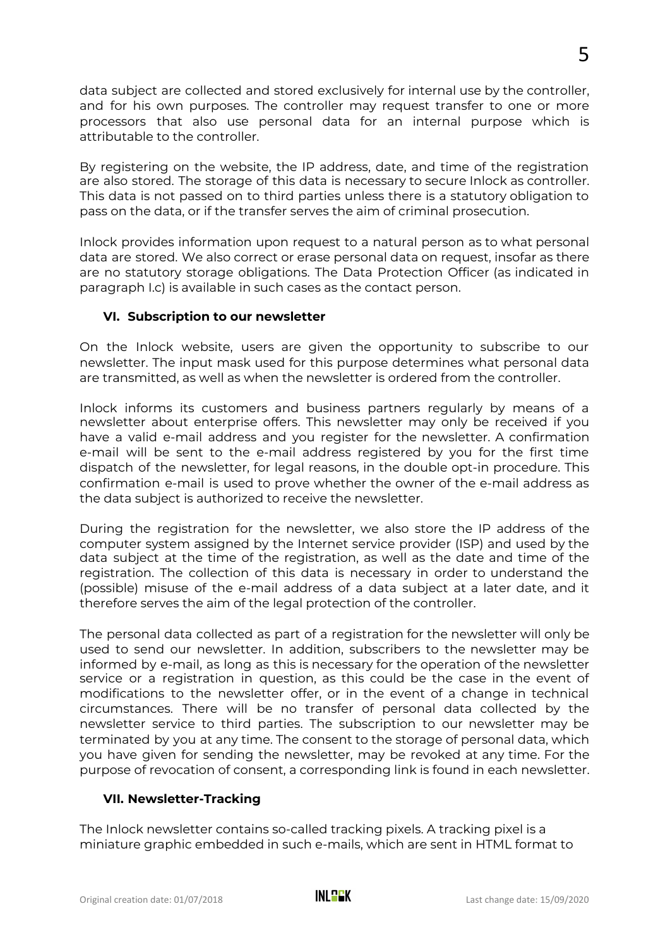data subject are collected and stored exclusively for internal use by the controller, and for his own purposes. The controller may request transfer to one or more processors that also use personal data for an internal purpose which is attributable to the controller.

By registering on the website, the IP address, date, and time of the registration are also stored. The storage of this data is necessary to secure Inlock as controller. This data is not passed on to third parties unless there is a statutory obligation to pass on the data, or if the transfer serves the aim of criminal prosecution.

Inlock provides information upon request to a natural person as to what personal data are stored. We also correct or erase personal data on request, insofar as there are no statutory storage obligations. The Data Protection Officer (as indicated in paragraph I.c) is available in such cases as the contact person.

# **VI. Subscription to our newsletter**

On the Inlock website, users are given the opportunity to subscribe to our newsletter. The input mask used for this purpose determines what personal data are transmitted, as well as when the newsletter is ordered from the controller.

Inlock informs its customers and business partners regularly by means of a newsletter about enterprise offers. This newsletter may only be received if you have a valid e-mail address and you register for the newsletter. A confirmation e-mail will be sent to the e-mail address registered by you for the first time dispatch of the newsletter, for legal reasons, in the double opt-in procedure. This confirmation e-mail is used to prove whether the owner of the e-mail address as the data subject is authorized to receive the newsletter.

During the registration for the newsletter, we also store the IP address of the computer system assigned by the Internet service provider (ISP) and used by the data subject at the time of the registration, as well as the date and time of the registration. The collection of this data is necessary in order to understand the (possible) misuse of the e-mail address of a data subject at a later date, and it therefore serves the aim of the legal protection of the controller.

The personal data collected as part of a registration for the newsletter will only be used to send our newsletter. In addition, subscribers to the newsletter may be informed by e-mail, as long as this is necessary for the operation of the newsletter service or a registration in question, as this could be the case in the event of modifications to the newsletter offer, or in the event of a change in technical circumstances. There will be no transfer of personal data collected by the newsletter service to third parties. The subscription to our newsletter may be terminated by you at any time. The consent to the storage of personal data, which you have given for sending the newsletter, may be revoked at any time. For the purpose of revocation of consent, a corresponding link is found in each newsletter.

# **VII. Newsletter-Tracking**

The Inlock newsletter contains so-called tracking pixels. A tracking pixel is a miniature graphic embedded in such e-mails, which are sent in HTML format to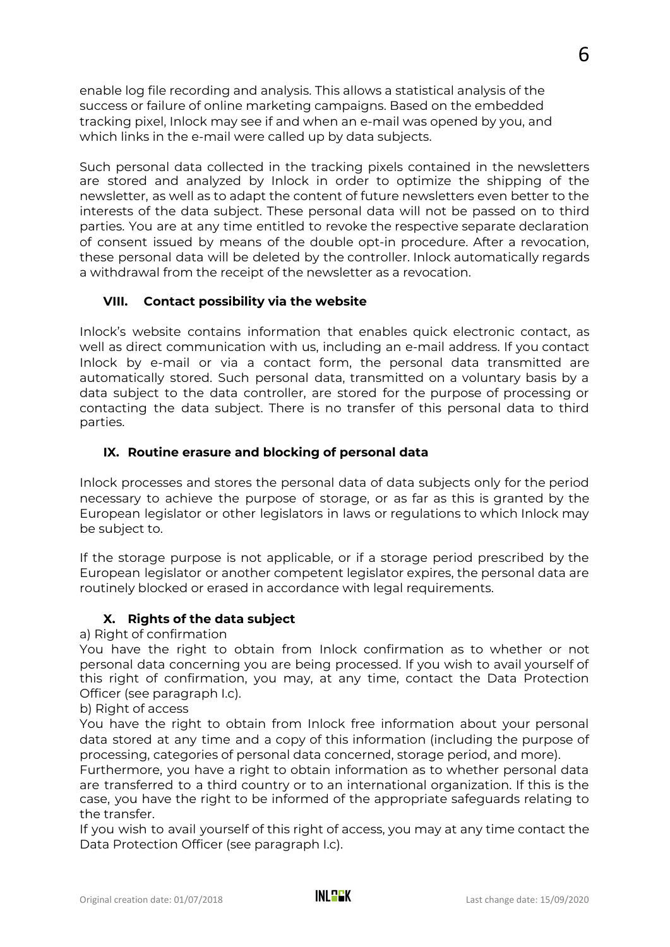enable log file recording and analysis. This allows a statistical analysis of the success or failure of online marketing campaigns. Based on the embedded tracking pixel, Inlock may see if and when an e-mail was opened by you, and which links in the e-mail were called up by data subjects.

Such personal data collected in the tracking pixels contained in the newsletters are stored and analyzed by Inlock in order to optimize the shipping of the newsletter, as well as to adapt the content of future newsletters even better to the interests of the data subject. These personal data will not be passed on to third parties. You are at any time entitled to revoke the respective separate declaration of consent issued by means of the double opt-in procedure. After a revocation, these personal data will be deleted by the controller. Inlock automatically regards a withdrawal from the receipt of the newsletter as a revocation.

# **VIII. Contact possibility via the website**

Inlock's website contains information that enables quick electronic contact, as well as direct communication with us, including an e-mail address. If you contact Inlock by e-mail or via a contact form, the personal data transmitted are automatically stored. Such personal data, transmitted on a voluntary basis by a data subject to the data controller, are stored for the purpose of processing or contacting the data subject. There is no transfer of this personal data to third parties.

#### **IX. Routine erasure and blocking of personal data**

Inlock processes and stores the personal data of data subjects only for the period necessary to achieve the purpose of storage, or as far as this is granted by the European legislator or other legislators in laws or regulations to which Inlock may be subject to.

If the storage purpose is not applicable, or if a storage period prescribed by the European legislator or another competent legislator expires, the personal data are routinely blocked or erased in accordance with legal requirements.

# **X. Rights of the data subject**

a) Right of confirmation

You have the right to obtain from Inlock confirmation as to whether or not personal data concerning you are being processed. If you wish to avail yourself of this right of confirmation, you may, at any time, contact the Data Protection Officer (see paragraph I.c).

b) Right of access

You have the right to obtain from Inlock free information about your personal data stored at any time and a copy of this information (including the purpose of processing, categories of personal data concerned, storage period, and more).

Furthermore, you have a right to obtain information as to whether personal data are transferred to a third country or to an international organization. If this is the case, you have the right to be informed of the appropriate safeguards relating to the transfer.

If you wish to avail yourself of this right of access, you may at any time contact the Data Protection Officer (see paragraph I.c).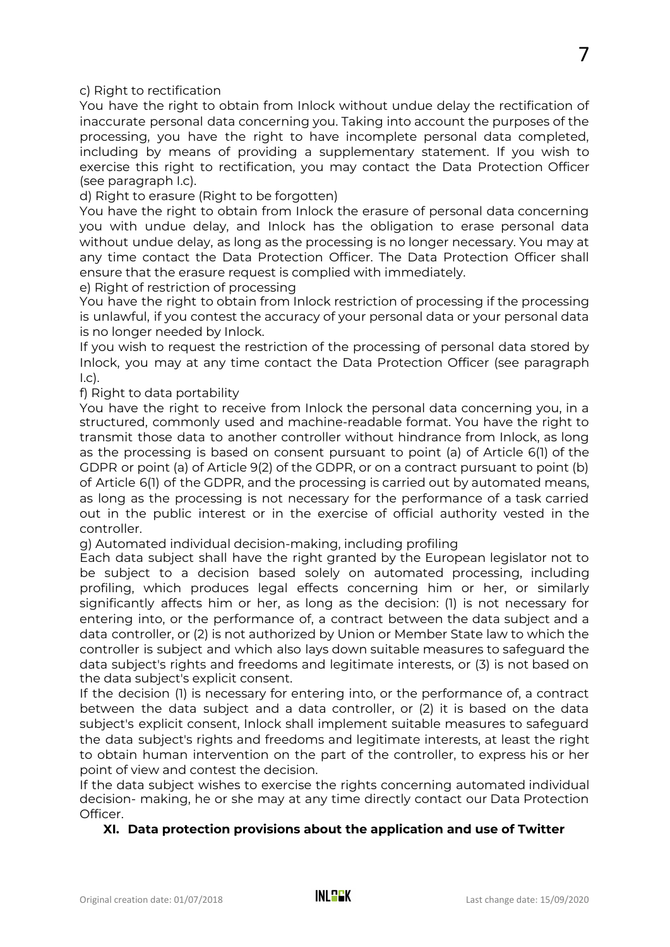c) Right to rectification

You have the right to obtain from Inlock without undue delay the rectification of inaccurate personal data concerning you. Taking into account the purposes of the processing, you have the right to have incomplete personal data completed, including by means of providing a supplementary statement. If you wish to exercise this right to rectification, you may contact the Data Protection Officer (see paragraph I.c).

d) Right to erasure (Right to be forgotten)

You have the right to obtain from Inlock the erasure of personal data concerning you with undue delay, and Inlock has the obligation to erase personal data without undue delay, as long as the processing is no longer necessary. You may at any time contact the Data Protection Officer. The Data Protection Officer shall ensure that the erasure request is complied with immediately.

e) Right of restriction of processing

You have the right to obtain from Inlock restriction of processing if the processing is unlawful, if you contest the accuracy of your personal data or your personal data is no longer needed by Inlock.

If you wish to request the restriction of the processing of personal data stored by Inlock, you may at any time contact the Data Protection Officer (see paragraph  $|C|$ .

f) Right to data portability

You have the right to receive from Inlock the personal data concerning you, in a structured, commonly used and machine-readable format. You have the right to transmit those data to another controller without hindrance from Inlock, as long as the processing is based on consent pursuant to point (a) of Article 6(1) of the GDPR or point (a) of Article 9(2) of the GDPR, or on a contract pursuant to point (b) of Article 6(1) of the GDPR, and the processing is carried out by automated means, as long as the processing is not necessary for the performance of a task carried out in the public interest or in the exercise of official authority vested in the controller.

g) Automated individual decision-making, including profiling

Each data subject shall have the right granted by the European legislator not to be subject to a decision based solely on automated processing, including profiling, which produces legal effects concerning him or her, or similarly significantly affects him or her, as long as the decision: (1) is not necessary for entering into, or the performance of, a contract between the data subject and a data controller, or (2) is not authorized by Union or Member State law to which the controller is subject and which also lays down suitable measures to safeguard the data subject's rights and freedoms and legitimate interests, or (3) is not based on the data subject's explicit consent.

If the decision (1) is necessary for entering into, or the performance of, a contract between the data subject and a data controller, or (2) it is based on the data subject's explicit consent, Inlock shall implement suitable measures to safeguard the data subject's rights and freedoms and legitimate interests, at least the right to obtain human intervention on the part of the controller, to express his or her point of view and contest the decision.

If the data subject wishes to exercise the rights concerning automated individual decision- making, he or she may at any time directly contact our Data Protection Officer.

#### **XI. Data protection provisions about the application and use of Twitter**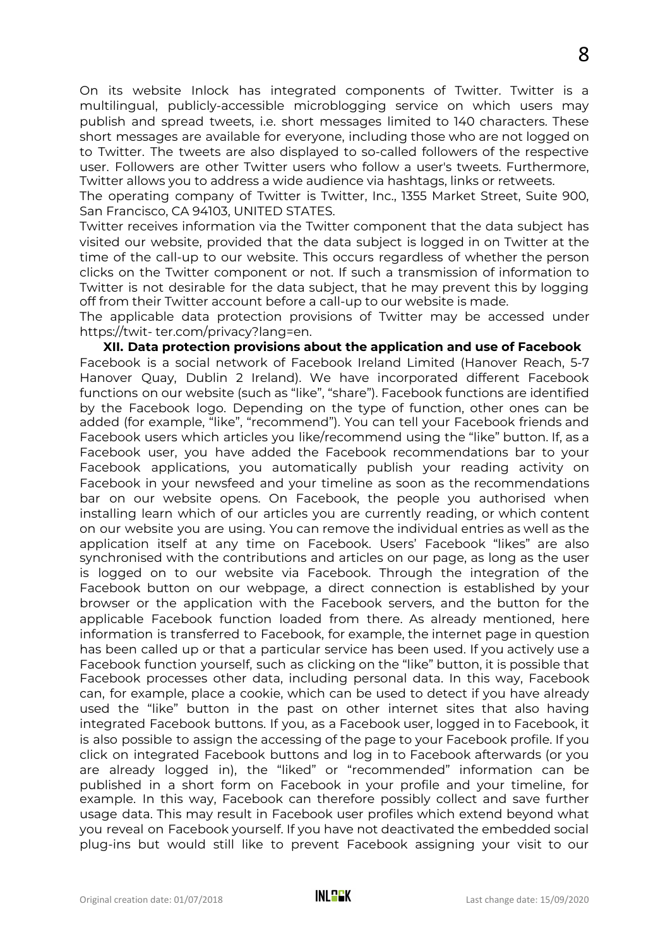On its website Inlock has integrated components of Twitter. Twitter is a multilingual, publicly-accessible microblogging service on which users may publish and spread tweets, i.e. short messages limited to 140 characters. These short messages are available for everyone, including those who are not logged on to Twitter. The tweets are also displayed to so-called followers of the respective user. Followers are other Twitter users who follow a user's tweets. Furthermore, Twitter allows you to address a wide audience via hashtags, links or retweets.

The operating company of Twitter is Twitter, Inc., 1355 Market Street, Suite 900, San Francisco, CA 94103, UNITED STATES.

Twitter receives information via the Twitter component that the data subject has visited our website, provided that the data subject is logged in on Twitter at the time of the call-up to our website. This occurs regardless of whether the person clicks on the Twitter component or not. If such a transmission of information to Twitter is not desirable for the data subject, that he may prevent this by logging off from their Twitter account before a call-up to our website is made.

The applicable data protection provisions of Twitter may be accessed under https://twit- ter.com/privacy?lang=en.

**XII. Data protection provisions about the application and use of Facebook** Facebook is a social network of Facebook Ireland Limited (Hanover Reach, 5-7 Hanover Quay, Dublin 2 Ireland). We have incorporated different Facebook functions on our website (such as "like", "share"). Facebook functions are identified by the Facebook logo. Depending on the type of function, other ones can be added (for example, "like", "recommend"). You can tell your Facebook friends and Facebook users which articles you like/recommend using the "like" button. If, as a Facebook user, you have added the Facebook recommendations bar to your Facebook applications, you automatically publish your reading activity on Facebook in your newsfeed and your timeline as soon as the recommendations bar on our website opens. On Facebook, the people you authorised when installing learn which of our articles you are currently reading, or which content on our website you are using. You can remove the individual entries as well as the application itself at any time on Facebook. Users' Facebook "likes" are also synchronised with the contributions and articles on our page, as long as the user is logged on to our website via Facebook. Through the integration of the Facebook button on our webpage, a direct connection is established by your browser or the application with the Facebook servers, and the button for the applicable Facebook function loaded from there. As already mentioned, here information is transferred to Facebook, for example, the internet page in question has been called up or that a particular service has been used. If you actively use a Facebook function yourself, such as clicking on the "like" button, it is possible that Facebook processes other data, including personal data. In this way, Facebook can, for example, place a cookie, which can be used to detect if you have already used the "like" button in the past on other internet sites that also having integrated Facebook buttons. If you, as a Facebook user, logged in to Facebook, it is also possible to assign the accessing of the page to your Facebook profile. If you click on integrated Facebook buttons and log in to Facebook afterwards (or you are already logged in), the "liked" or "recommended" information can be published in a short form on Facebook in your profile and your timeline, for example. In this way, Facebook can therefore possibly collect and save further usage data. This may result in Facebook user profiles which extend beyond what you reveal on Facebook yourself. If you have not deactivated the embedded social plug-ins but would still like to prevent Facebook assigning your visit to our

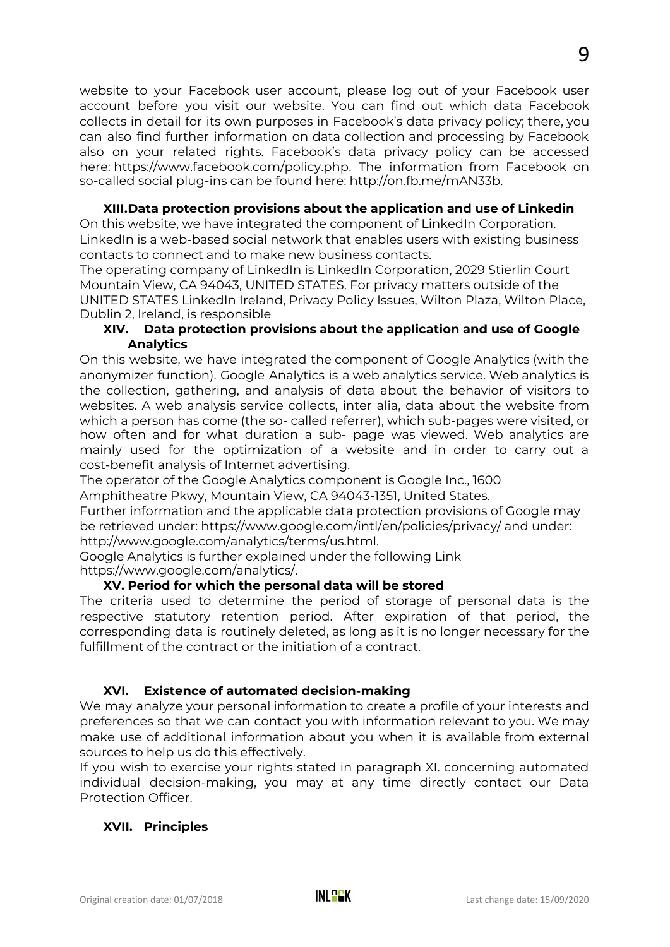website to your Facebook user account, please log out of your Facebook user account before you visit our website. You can find out which data Facebook collects in detail for its own purposes in Facebook's data privacy policy; there, you can also find further information on data collection and processing by Facebook also on your related rights. Facebook's data privacy policy can be accessed here: <https://www.facebook.com/policy.php>. The information from Facebook on so-called social plug-ins can be found here: [http://on.fb.me/mAN33b](https://developers.facebook.com/products/social-plugins/?locale=en_US).

# **XIII.Data protection provisions about the application and use of Linkedin**

On this website, we have integrated the component of LinkedIn Corporation. LinkedIn is a web-based social network that enables users with existing business contacts to connect and to make new business contacts.

The operating company of LinkedIn is LinkedIn Corporation, 2029 Stierlin Court Mountain View, CA 94043, UNITED STATES. For privacy matters outside of the UNITED STATES LinkedIn Ireland, Privacy Policy Issues, Wilton Plaza, Wilton Place, Dublin 2, Ireland, is responsible

#### **XIV. Data protection provisions about the application and use of Google Analytics**

On this website, we have integrated the component of Google Analytics (with the anonymizer function). Google Analytics is a web analytics service. Web analytics is the collection, gathering, and analysis of data about the behavior of visitors to websites. A web analysis service collects, inter alia, data about the website from which a person has come (the so- called referrer), which sub-pages were visited, or how often and for what duration a sub- page was viewed. Web analytics are mainly used for the optimization of a website and in order to carry out a cost-benefit analysis of Internet advertising.

The operator of the Google Analytics component is Google Inc., 1600

Amphitheatre Pkwy, Mountain View, CA 94043-1351, United States.

Further information and the applicable data protection provisions of Google may be retrieved under: https://www.google.com/intl/en/policies/privacy/ and under: http://www.google.com/analytics/terms/us.html.

Google Analytics is further explained under the following Link https://www.google.com/analytics/.

# **XV. Period for which the personal data will be stored**

The criteria used to determine the period of storage of personal data is the respective statutory retention period. After expiration of that period, the corresponding data is routinely deleted, as long as it is no longer necessary for the fulfillment of the contract or the initiation of a contract.

# **XVI. Existence of automated decision-making**

We may analyze your personal information to create a profile of your interests and preferences so that we can contact you with information relevant to you. We may make use of additional information about you when it is available from external sources to help us do this effectively.

If you wish to exercise your rights stated in paragraph XI. concerning automated individual decision-making, you may at any time directly contact our Data Protection Officer.

# **XVII. Principles**